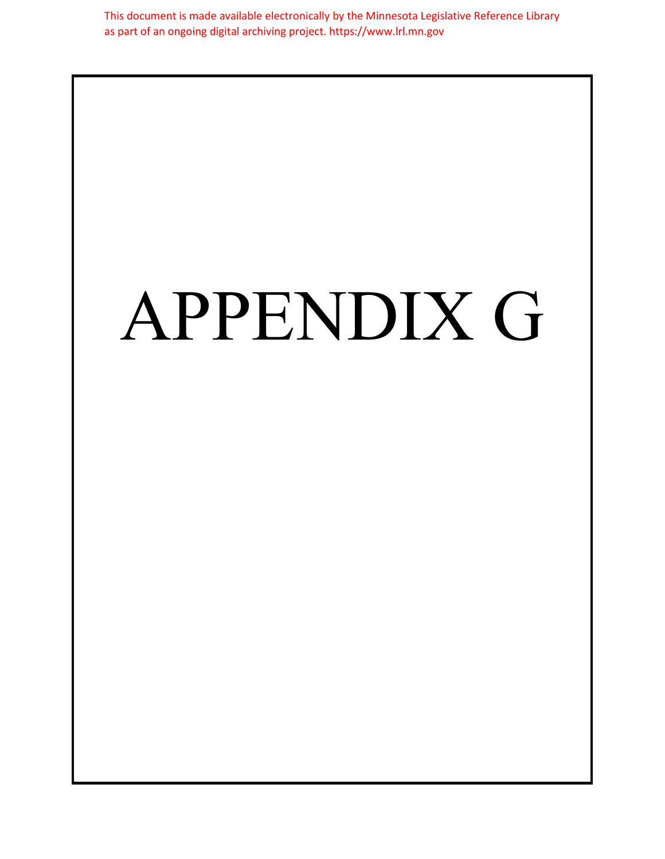This document is made available electronically by the Minnesota Legislative Reference Library as part of an ongoing digital archiving project. https://www.lrl.mn.gov

## APPENDIX G